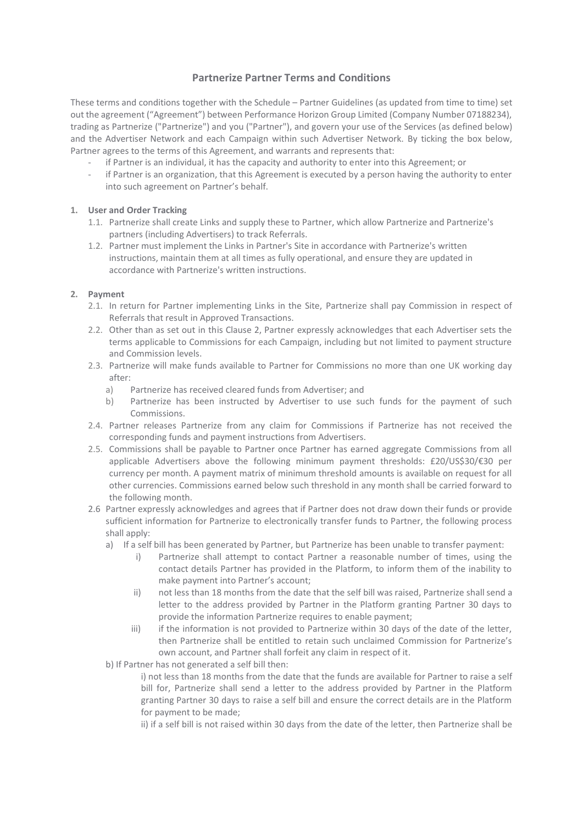# **Partnerize Partner Terms and Conditions**

These terms and conditions together with the Schedule – Partner Guidelines (as updated from time to time) set out the agreement ("Agreement") between Performance Horizon Group Limited (Company Number 07188234), trading as Partnerize ("Partnerize") and you ("Partner"), and govern your use of the Services (as defined below) and the Advertiser Network and each Campaign within such Advertiser Network. By ticking the box below, Partner agrees to the terms of this Agreement, and warrants and represents that:

- if Partner is an individual, it has the capacity and authority to enter into this Agreement; or
- if Partner is an organization, that this Agreement is executed by a person having the authority to enter into such agreement on Partner's behalf.

## **1. User and Order Tracking**

- 1.1. Partnerize shall create Links and supply these to Partner, which allow Partnerize and Partnerize's partners (including Advertisers) to track Referrals.
- 1.2. Partner must implement the Links in Partner's Site in accordance with Partnerize's written instructions, maintain them at all times as fully operational, and ensure they are updated in accordance with Partnerize's written instructions.

# **2. Payment**

- 2.1. In return for Partner implementing Links in the Site, Partnerize shall pay Commission in respect of Referrals that result in Approved Transactions.
- 2.2. Other than as set out in this Clause 2, Partner expressly acknowledges that each Advertiser sets the terms applicable to Commissions for each Campaign, including but not limited to payment structure and Commission levels.
- 2.3. Partnerize will make funds available to Partner for Commissions no more than one UK working day after:
	- a) Partnerize has received cleared funds from Advertiser; and
	- b) Partnerize has been instructed by Advertiser to use such funds for the payment of such Commissions.
- 2.4. Partner releases Partnerize from any claim for Commissions if Partnerize has not received the corresponding funds and payment instructions from Advertisers.
- 2.5. Commissions shall be payable to Partner once Partner has earned aggregate Commissions from all applicable Advertisers above the following minimum payment thresholds: £20/US\$30/€30 per currency per month. A payment matrix of minimum threshold amounts is available on request for all other currencies. Commissions earned below such threshold in any month shall be carried forward to the following month.
- 2.6 Partner expressly acknowledges and agrees that if Partner does not draw down their funds or provide sufficient information for Partnerize to electronically transfer funds to Partner, the following process shall apply:
	- a) If a self bill has been generated by Partner, but Partnerize has been unable to transfer payment:
		- i) Partnerize shall attempt to contact Partner a reasonable number of times, using the contact details Partner has provided in the Platform, to inform them of the inability to make payment into Partner's account;
		- ii) not less than 18 months from the date that the self bill was raised, Partnerize shall send a letter to the address provided by Partner in the Platform granting Partner 30 days to provide the information Partnerize requires to enable payment;
		- iii) if the information is not provided to Partnerize within 30 days of the date of the letter, then Partnerize shall be entitled to retain such unclaimed Commission for Partnerize's own account, and Partner shall forfeit any claim in respect of it.
	- b) If Partner has not generated a self bill then:

i) not less than 18 months from the date that the funds are available for Partner to raise a self bill for, Partnerize shall send a letter to the address provided by Partner in the Platform granting Partner 30 days to raise a self bill and ensure the correct details are in the Platform for payment to be made;

ii) if a self bill is not raised within 30 days from the date of the letter, then Partnerize shall be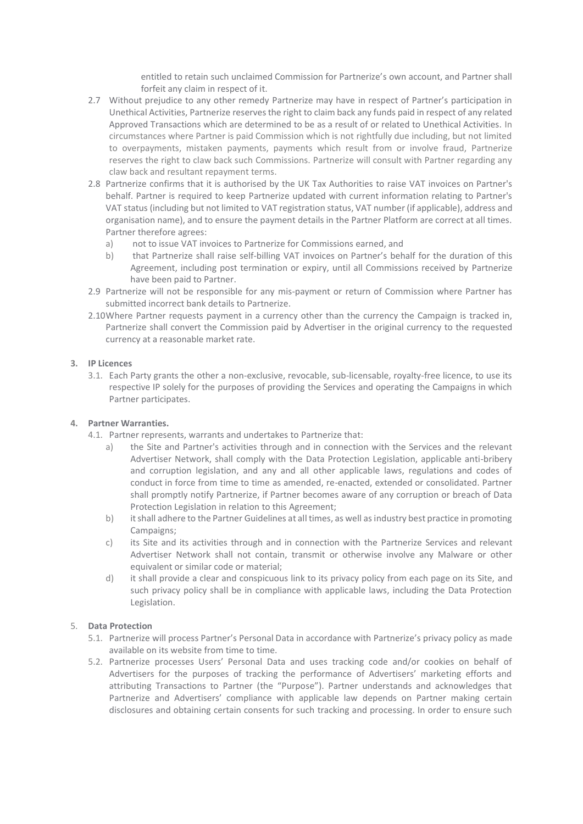entitled to retain such unclaimed Commission for Partnerize's own account, and Partner shall forfeit any claim in respect of it.

- 2.7 Without prejudice to any other remedy Partnerize may have in respect of Partner's participation in Unethical Activities, Partnerize reserves the right to claim back any funds paid in respect of any related Approved Transactions which are determined to be as a result of or related to Unethical Activities. In circumstances where Partner is paid Commission which is not rightfully due including, but not limited to overpayments, mistaken payments, payments which result from or involve fraud, Partnerize reserves the right to claw back such Commissions. Partnerize will consult with Partner regarding any claw back and resultant repayment terms.
- 2.8 Partnerize confirms that it is authorised by the UK Tax Authorities to raise VAT invoices on Partner's behalf. Partner is required to keep Partnerize updated with current information relating to Partner's VAT status (including but not limited to VAT registration status, VAT number (if applicable), address and organisation name), and to ensure the payment details in the Partner Platform are correct at all times. Partner therefore agrees:
	- a) not to issue VAT invoices to Partnerize for Commissions earned, and
	- b) that Partnerize shall raise self-billing VAT invoices on Partner's behalf for the duration of this Agreement, including post termination or expiry, until all Commissions received by Partnerize have been paid to Partner.
- 2.9 Partnerize will not be responsible for any mis-payment or return of Commission where Partner has submitted incorrect bank details to Partnerize.
- 2.10Where Partner requests payment in a currency other than the currency the Campaign is tracked in, Partnerize shall convert the Commission paid by Advertiser in the original currency to the requested currency at a reasonable market rate.

# **3. IP Licences**

3.1. Each Party grants the other a non-exclusive, revocable, sub-licensable, royalty-free licence, to use its respective IP solely for the purposes of providing the Services and operating the Campaigns in which Partner participates.

## **4. Partner Warranties.**

- 4.1. Partner represents, warrants and undertakes to Partnerize that:
	- the Site and Partner's activities through and in connection with the Services and the relevant Advertiser Network, shall comply with the Data Protection Legislation, applicable anti-bribery and corruption legislation, and any and all other applicable laws, regulations and codes of conduct in force from time to time as amended, re-enacted, extended or consolidated. Partner shall promptly notify Partnerize, if Partner becomes aware of any corruption or breach of Data Protection Legislation in relation to this Agreement;
	- b) it shall adhere to the Partner Guidelines at all times, as well as industry best practice in promoting Campaigns;
	- c) its Site and its activities through and in connection with the Partnerize Services and relevant Advertiser Network shall not contain, transmit or otherwise involve any Malware or other equivalent or similar code or material;
	- d) it shall provide a clear and conspicuous link to its privacy policy from each page on its Site, and such privacy policy shall be in compliance with applicable laws, including the Data Protection Legislation.

## <span id="page-1-0"></span>5. **Data Protection**

- 5.1. Partnerize will process Partner's Personal Data in accordance with Partnerize's privacy policy as made available on its website from time to time.
- <span id="page-1-1"></span>5.2. Partnerize processes Users' Personal Data and uses tracking code and/or cookies on behalf of Advertisers for the purposes of tracking the performance of Advertisers' marketing efforts and attributing Transactions to Partner (the "Purpose"). Partner understands and acknowledges that Partnerize and Advertisers' compliance with applicable law depends on Partner making certain disclosures and obtaining certain consents for such tracking and processing. In order to ensure such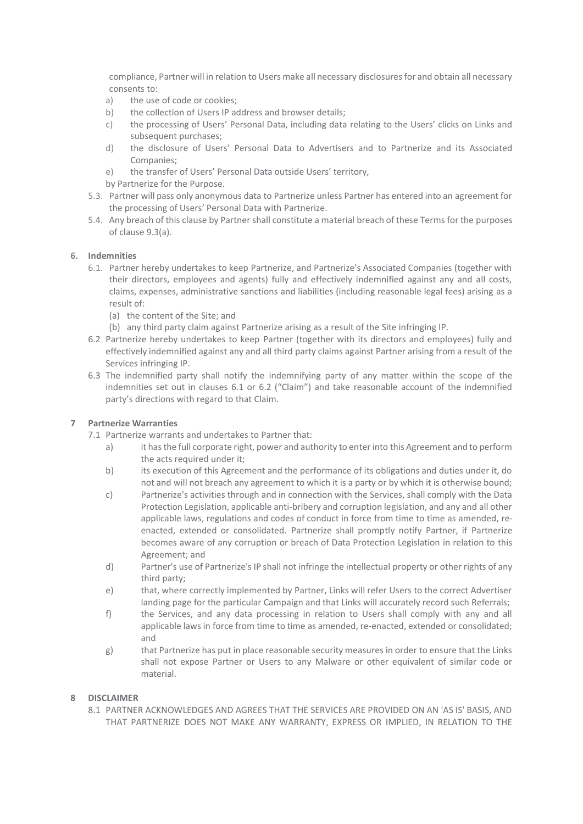compliance, Partner will in relation to Users make all necessary disclosures for and obtain all necessary consents to:

- a) the use of code or cookies;
- b) the collection of Users IP address and browser details;
- c) the processing of Users' Personal Data, including data relating to the Users' clicks on Links and subsequent purchases;
- d) the disclosure of Users' Personal Data to Advertisers and to Partnerize and its Associated Companies;
- e) the transfer of Users' Personal Data outside Users' territory,
- by Partnerize for the Purpose.
- 5.3. Partner will pass only anonymous data to Partnerize unless Partner has entered into an agreement for the processing of Users' Personal Data with Partnerize.
- 5.4. Any breach of this clause by Partner shall constitute a material breach of these Terms for the purposes of clause 9.3(a).

## <span id="page-2-0"></span>**6. Indemnities**

- 6.1. Partner hereby undertakes to keep Partnerize, and Partnerize's Associated Companies (together with their directors, employees and agents) fully and effectively indemnified against any and all costs, claims, expenses, administrative sanctions and liabilities (including reasonable legal fees) arising as a result of:
	- (a) the content of the Site; and
	- (b) any third party claim against Partnerize arising as a result of the Site infringing IP.
- <span id="page-2-1"></span>6.2 Partnerize hereby undertakes to keep Partner (together with its directors and employees) fully and effectively indemnified against any and all third party claims against Partner arising from a result of the Services infringing IP.
- 6.3 The indemnified party shall notify the indemnifying party of any matter within the scope of the indemnities set out in clauses [6.1](#page-2-0) or [6.2](#page-2-1) ("Claim") and take reasonable account of the indemnified party's directions with regard to that Claim.

## **7 Partnerize Warranties**

- 7.1 Partnerize warrants and undertakes to Partner that:
	- a) it has the full corporate right, power and authority to enter into this Agreement and to perform the acts required under it;
	- b) its execution of this Agreement and the performance of its obligations and duties under it, do not and will not breach any agreement to which it is a party or by which it is otherwise bound;
	- c) Partnerize's activities through and in connection with the Services, shall comply with the Data Protection Legislation, applicable anti-bribery and corruption legislation, and any and all other applicable laws, regulations and codes of conduct in force from time to time as amended, reenacted, extended or consolidated. Partnerize shall promptly notify Partner, if Partnerize becomes aware of any corruption or breach of Data Protection Legislation in relation to this Agreement; and
	- d) Partner's use of Partnerize's IP shall not infringe the intellectual property or other rights of any third party;
	- e) that, where correctly implemented by Partner, Links will refer Users to the correct Advertiser landing page for the particular Campaign and that Links will accurately record such Referrals;
	- f) the Services, and any data processing in relation to Users shall comply with any and all applicable laws in force from time to time as amended, re-enacted, extended or consolidated; and
	- g) that Partnerize has put in place reasonable security measures in order to ensure that the Links shall not expose Partner or Users to any Malware or other equivalent of similar code or material.

## **8 DISCLAIMER**

8.1 PARTNER ACKNOWLEDGES AND AGREES THAT THE SERVICES ARE PROVIDED ON AN 'AS IS' BASIS, AND THAT PARTNERIZE DOES NOT MAKE ANY WARRANTY, EXPRESS OR IMPLIED, IN RELATION TO THE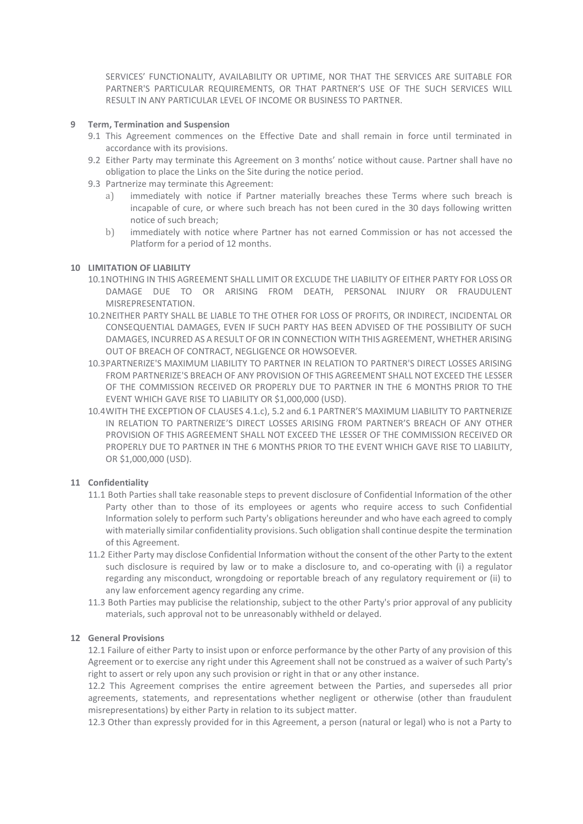SERVICES' FUNCTIONALITY, AVAILABILITY OR UPTIME, NOR THAT THE SERVICES ARE SUITABLE FOR PARTNER'S PARTICULAR REQUIREMENTS, OR THAT PARTNER'S USE OF THE SUCH SERVICES WILL RESULT IN ANY PARTICULAR LEVEL OF INCOME OR BUSINESS TO PARTNER.

## **9 Term, Termination and Suspension**

- 9.1 This Agreement commences on the Effective Date and shall remain in force until terminated in accordance with its provisions.
- 9.2 Either Party may terminate this Agreement on 3 months' notice without cause. Partner shall have no obligation to place the Links on the Site during the notice period.
- 9.3 Partnerize may terminate this Agreement:
	- a) immediately with notice if Partner materially breaches these Terms where such breach is incapable of cure, or where such breach has not been cured in the 30 days following written notice of such breach;
	- b) immediately with notice where Partner has not earned Commission or has not accessed the Platform for a period of 12 months.

## **10 LIMITATION OF LIABILITY**

- 10.1NOTHING IN THIS AGREEMENT SHALL LIMIT OR EXCLUDE THE LIABILITY OF EITHER PARTY FOR LOSS OR DAMAGE DUE TO OR ARISING FROM DEATH, PERSONAL INJURY OR FRAUDULENT MISREPRESENTATION.
- 10.2NEITHER PARTY SHALL BE LIABLE TO THE OTHER FOR LOSS OF PROFITS, OR INDIRECT, INCIDENTAL OR CONSEQUENTIAL DAMAGES, EVEN IF SUCH PARTY HAS BEEN ADVISED OF THE POSSIBILITY OF SUCH DAMAGES, INCURRED AS A RESULT OF OR IN CONNECTION WITH THIS AGREEMENT, WHETHER ARISING OUT OF BREACH OF CONTRACT, NEGLIGENCE OR HOWSOEVER.
- 10.3PARTNERIZE'S MAXIMUM LIABILITY TO PARTNER IN RELATION TO PARTNER'S DIRECT LOSSES ARISING FROM PARTNERIZE'S BREACH OF ANY PROVISION OF THIS AGREEMENT SHALL NOT EXCEED THE LESSER OF THE COMMISSION RECEIVED OR PROPERLY DUE TO PARTNER IN THE 6 MONTHS PRIOR TO THE EVENT WHICH GAVE RISE TO LIABILITY OR \$1,000,000 (USD).
- 10.4WITH THE EXCEPTION OF CLAUSE[S 4.1.c\),](#page-1-0) [5.2](#page-1-1) and [6.1](#page-2-0) PARTNER'S MAXIMUM LIABILITY TO PARTNERIZE IN RELATION TO PARTNERIZE'S DIRECT LOSSES ARISING FROM PARTNER'S BREACH OF ANY OTHER PROVISION OF THIS AGREEMENT SHALL NOT EXCEED THE LESSER OF THE COMMISSION RECEIVED OR PROPERLY DUE TO PARTNER IN THE 6 MONTHS PRIOR TO THE EVENT WHICH GAVE RISE TO LIABILITY, OR \$1,000,000 (USD).

# **11 Confidentiality**

- 11.1 Both Parties shall take reasonable steps to prevent disclosure of Confidential Information of the other Party other than to those of its employees or agents who require access to such Confidential Information solely to perform such Party's obligations hereunder and who have each agreed to comply with materially similar confidentiality provisions. Such obligation shall continue despite the termination of this Agreement.
- 11.2 Either Party may disclose Confidential Information without the consent of the other Party to the extent such disclosure is required by law or to make a disclosure to, and co-operating with (i) a regulator regarding any misconduct, wrongdoing or reportable breach of any regulatory requirement or (ii) to any law enforcement agency regarding any crime.
- 11.3 Both Parties may publicise the relationship, subject to the other Party's prior approval of any publicity materials, such approval not to be unreasonably withheld or delayed.

## **12 General Provisions**

12.1 Failure of either Party to insist upon or enforce performance by the other Party of any provision of this Agreement or to exercise any right under this Agreement shall not be construed as a waiver of such Party's right to assert or rely upon any such provision or right in that or any other instance.

12.2 This Agreement comprises the entire agreement between the Parties, and supersedes all prior agreements, statements, and representations whether negligent or otherwise (other than fraudulent misrepresentations) by either Party in relation to its subject matter.

12.3 Other than expressly provided for in this Agreement, a person (natural or legal) who is not a Party to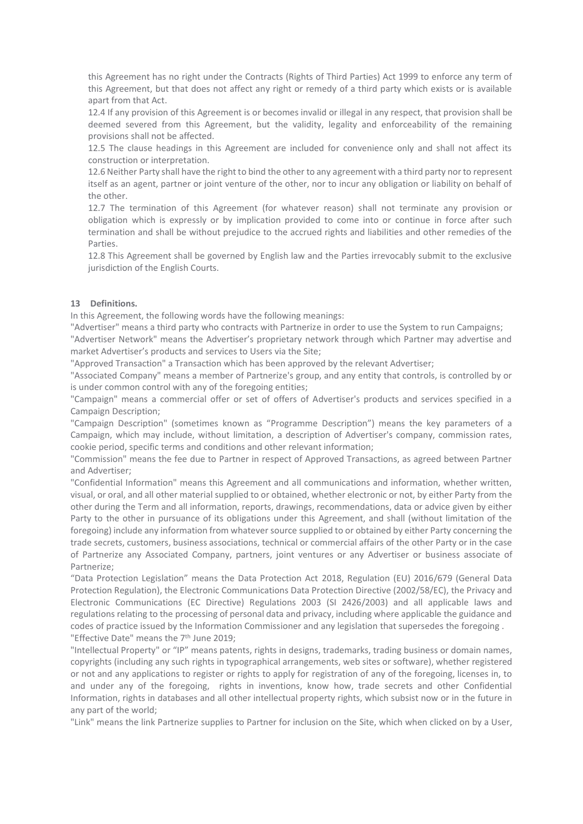this Agreement has no right under the Contracts (Rights of Third Parties) Act 1999 to enforce any term of this Agreement, but that does not affect any right or remedy of a third party which exists or is available apart from that Act.

12.4 If any provision of this Agreement is or becomes invalid or illegal in any respect, that provision shall be deemed severed from this Agreement, but the validity, legality and enforceability of the remaining provisions shall not be affected.

12.5 The clause headings in this Agreement are included for convenience only and shall not affect its construction or interpretation.

12.6 Neither Party shall have the right to bind the other to any agreement with a third party nor to represent itself as an agent, partner or joint venture of the other, nor to incur any obligation or liability on behalf of the other.

12.7 The termination of this Agreement (for whatever reason) shall not terminate any provision or obligation which is expressly or by implication provided to come into or continue in force after such termination and shall be without prejudice to the accrued rights and liabilities and other remedies of the Parties.

12.8 This Agreement shall be governed by English law and the Parties irrevocably submit to the exclusive jurisdiction of the English Courts.

#### **13 Definitions.**

In this Agreement, the following words have the following meanings:

"Advertiser" means a third party who contracts with Partnerize in order to use the System to run Campaigns; "Advertiser Network" means the Advertiser's proprietary network through which Partner may advertise and market Advertiser's products and services to Users via the Site;

"Approved Transaction" a Transaction which has been approved by the relevant Advertiser;

"Associated Company" means a member of Partnerize's group, and any entity that controls, is controlled by or is under common control with any of the foregoing entities;

"Campaign" means a commercial offer or set of offers of Advertiser's products and services specified in a Campaign Description;

"Campaign Description" (sometimes known as "Programme Description") means the key parameters of a Campaign, which may include, without limitation, a description of Advertiser's company, commission rates, cookie period, specific terms and conditions and other relevant information;

"Commission" means the fee due to Partner in respect of Approved Transactions, as agreed between Partner and Advertiser;

"Confidential Information" means this Agreement and all communications and information, whether written, visual, or oral, and all other material supplied to or obtained, whether electronic or not, by either Party from the other during the Term and all information, reports, drawings, recommendations, data or advice given by either Party to the other in pursuance of its obligations under this Agreement, and shall (without limitation of the foregoing) include any information from whatever source supplied to or obtained by either Party concerning the trade secrets, customers, business associations, technical or commercial affairs of the other Party or in the case of Partnerize any Associated Company, partners, joint ventures or any Advertiser or business associate of Partnerize;

"Data Protection Legislation" means the Data Protection Act 2018, Regulation (EU) 2016/679 (General Data Protection Regulation), the Electronic Communications Data Protection Directive (2002/58/EC), the Privacy and Electronic Communications (EC Directive) Regulations 2003 (SI 2426/2003) and all applicable laws and regulations relating to the processing of personal data and privacy, including where applicable the guidance and codes of practice issued by the Information Commissioner and any legislation that supersedes the foregoing . "Effective Date" means the 7<sup>th</sup> June 2019;

"Intellectual Property" or "IP" means patents, rights in designs, trademarks, trading business or domain names, copyrights (including any such rights in typographical arrangements, web sites or software), whether registered or not and any applications to register or rights to apply for registration of any of the foregoing, licenses in, to and under any of the foregoing, rights in inventions, know how, trade secrets and other Confidential Information, rights in databases and all other intellectual property rights, which subsist now or in the future in any part of the world;

"Link" means the link Partnerize supplies to Partner for inclusion on the Site, which when clicked on by a User,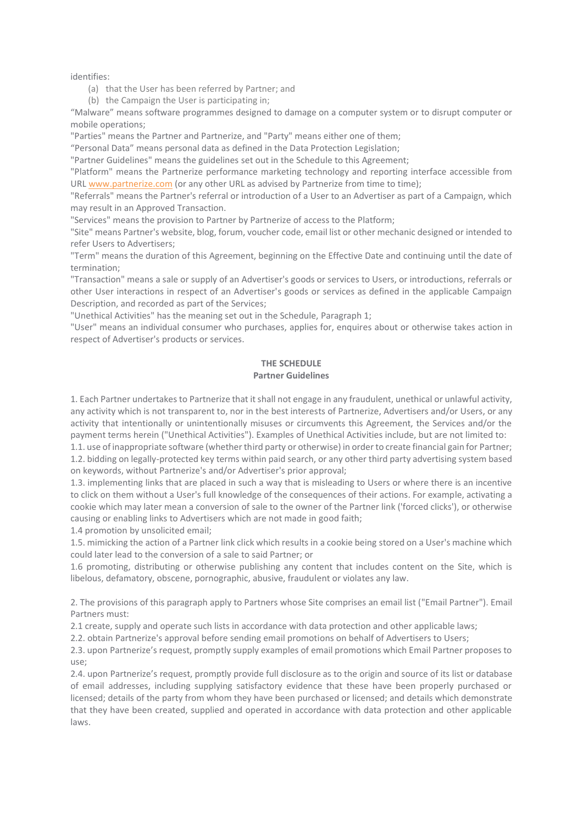identifies:

(a) that the User has been referred by Partner; and

(b) the Campaign the User is participating in;

"Malware" means software programmes designed to damage on a computer system or to disrupt computer or mobile operations;

"Parties" means the Partner and Partnerize, and "Party" means either one of them;

"Personal Data" means personal data as defined in the Data Protection Legislation;

"Partner Guidelines" means the guidelines set out in the Schedule to this Agreement;

"Platform" means the Partnerize performance marketing technology and reporting interface accessible from UR[L www.partnerize.com](http://www.partnerize.com/) (or any other URL as advised by Partnerize from time to time);

"Referrals" means the Partner's referral or introduction of a User to an Advertiser as part of a Campaign, which may result in an Approved Transaction.

"Services" means the provision to Partner by Partnerize of access to the Platform;

"Site" means Partner's website, blog, forum, voucher code, email list or other mechanic designed or intended to refer Users to Advertisers;

"Term" means the duration of this Agreement, beginning on the Effective Date and continuing until the date of termination;

"Transaction" means a sale or supply of an Advertiser's goods or services to Users, or introductions, referrals or other User interactions in respect of an Advertiser's goods or services as defined in the applicable Campaign Description, and recorded as part of the Services;

"Unethical Activities" has the meaning set out in the Schedule, Paragraph 1;

"User" means an individual consumer who purchases, applies for, enquires about or otherwise takes action in respect of Advertiser's products or services.

# **THE SCHEDULE Partner Guidelines**

1. Each Partner undertakes to Partnerize that it shall not engage in any fraudulent, unethical or unlawful activity, any activity which is not transparent to, nor in the best interests of Partnerize, Advertisers and/or Users, or any activity that intentionally or unintentionally misuses or circumvents this Agreement, the Services and/or the payment terms herein ("Unethical Activities"). Examples of Unethical Activities include, but are not limited to:

1.1. use of inappropriate software (whether third party or otherwise) in order to create financial gain for Partner; 1.2. bidding on legally-protected key terms within paid search, or any other third party advertising system based on keywords, without Partnerize's and/or Advertiser's prior approval;

1.3. implementing links that are placed in such a way that is misleading to Users or where there is an incentive to click on them without a User's full knowledge of the consequences of their actions. For example, activating a cookie which may later mean a conversion of sale to the owner of the Partner link ('forced clicks'), or otherwise causing or enabling links to Advertisers which are not made in good faith;

1.4 promotion by unsolicited email;

1.5. mimicking the action of a Partner link click which results in a cookie being stored on a User's machine which could later lead to the conversion of a sale to said Partner; or

1.6 promoting, distributing or otherwise publishing any content that includes content on the Site, which is libelous, defamatory, obscene, pornographic, abusive, fraudulent or violates any law.

2. The provisions of this paragraph apply to Partners whose Site comprises an email list ("Email Partner"). Email Partners must:

2.1 create, supply and operate such lists in accordance with data protection and other applicable laws;

2.2. obtain Partnerize's approval before sending email promotions on behalf of Advertisers to Users;

2.3. upon Partnerize's request, promptly supply examples of email promotions which Email Partner proposes to use;

2.4. upon Partnerize's request, promptly provide full disclosure as to the origin and source of its list or database of email addresses, including supplying satisfactory evidence that these have been properly purchased or licensed; details of the party from whom they have been purchased or licensed; and details which demonstrate that they have been created, supplied and operated in accordance with data protection and other applicable laws.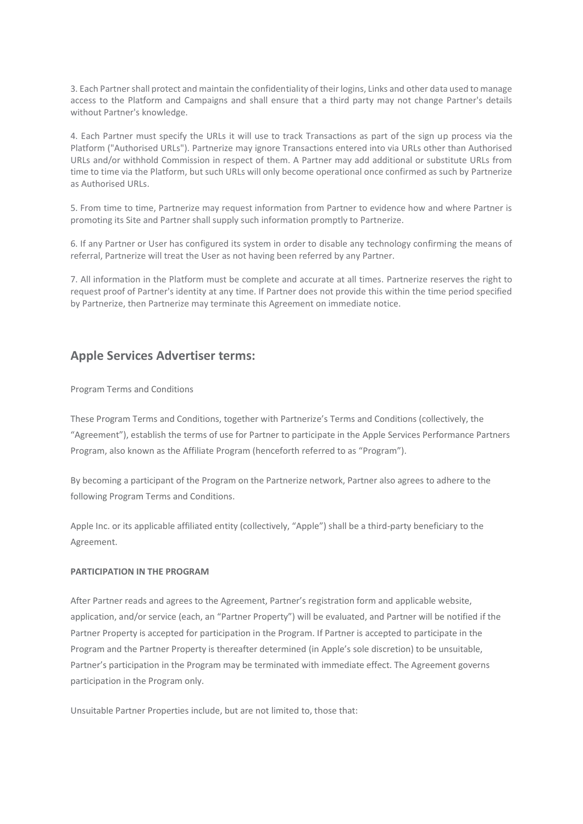3. Each Partner shall protect and maintain the confidentiality of their logins, Links and other data used to manage access to the Platform and Campaigns and shall ensure that a third party may not change Partner's details without Partner's knowledge.

4. Each Partner must specify the URLs it will use to track Transactions as part of the sign up process via the Platform ("Authorised URLs"). Partnerize may ignore Transactions entered into via URLs other than Authorised URLs and/or withhold Commission in respect of them. A Partner may add additional or substitute URLs from time to time via the Platform, but such URLs will only become operational once confirmed as such by Partnerize as Authorised URLs.

5. From time to time, Partnerize may request information from Partner to evidence how and where Partner is promoting its Site and Partner shall supply such information promptly to Partnerize.

6. If any Partner or User has configured its system in order to disable any technology confirming the means of referral, Partnerize will treat the User as not having been referred by any Partner.

7. All information in the Platform must be complete and accurate at all times. Partnerize reserves the right to request proof of Partner's identity at any time. If Partner does not provide this within the time period specified by Partnerize, then Partnerize may terminate this Agreement on immediate notice.

# **Apple Services Advertiser terms:**

#### Program Terms and Conditions

These Program Terms and Conditions, together with Partnerize's Terms and Conditions (collectively, the "Agreement"), establish the terms of use for Partner to participate in the Apple Services Performance Partners Program, also known as the Affiliate Program (henceforth referred to as "Program").

By becoming a participant of the Program on the Partnerize network, Partner also agrees to adhere to the following Program Terms and Conditions.

Apple Inc. or its applicable affiliated entity (collectively, "Apple") shall be a third-party beneficiary to the Agreement.

#### **PARTICIPATION IN THE PROGRAM**

After Partner reads and agrees to the Agreement, Partner's registration form and applicable website, application, and/or service (each, an "Partner Property") will be evaluated, and Partner will be notified if the Partner Property is accepted for participation in the Program. If Partner is accepted to participate in the Program and the Partner Property is thereafter determined (in Apple's sole discretion) to be unsuitable, Partner's participation in the Program may be terminated with immediate effect. The Agreement governs participation in the Program only.

Unsuitable Partner Properties include, but are not limited to, those that: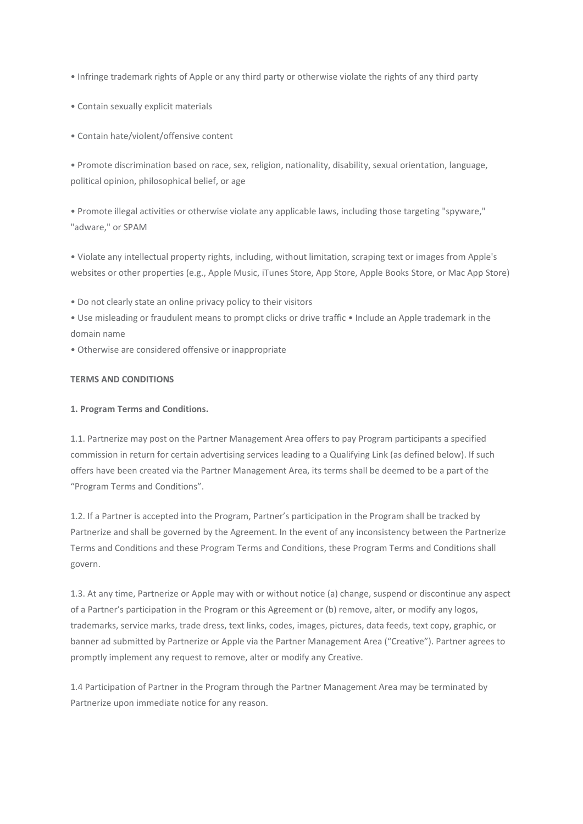• Infringe trademark rights of Apple or any third party or otherwise violate the rights of any third party

• Contain sexually explicit materials

• Contain hate/violent/offensive content

• Promote discrimination based on race, sex, religion, nationality, disability, sexual orientation, language, political opinion, philosophical belief, or age

• Promote illegal activities or otherwise violate any applicable laws, including those targeting "spyware," "adware," or SPAM

• Violate any intellectual property rights, including, without limitation, scraping text or images from Apple's websites or other properties (e.g., Apple Music, iTunes Store, App Store, Apple Books Store, or Mac App Store)

• Do not clearly state an online privacy policy to their visitors

• Use misleading or fraudulent means to prompt clicks or drive traffic • Include an Apple trademark in the domain name

• Otherwise are considered offensive or inappropriate

## **TERMS AND CONDITIONS**

# **1. Program Terms and Conditions.**

1.1. Partnerize may post on the Partner Management Area offers to pay Program participants a specified commission in return for certain advertising services leading to a Qualifying Link (as defined below). If such offers have been created via the Partner Management Area, its terms shall be deemed to be a part of the "Program Terms and Conditions".

1.2. If a Partner is accepted into the Program, Partner's participation in the Program shall be tracked by Partnerize and shall be governed by the Agreement. In the event of any inconsistency between the Partnerize Terms and Conditions and these Program Terms and Conditions, these Program Terms and Conditions shall govern.

1.3. At any time, Partnerize or Apple may with or without notice (a) change, suspend or discontinue any aspect of a Partner's participation in the Program or this Agreement or (b) remove, alter, or modify any logos, trademarks, service marks, trade dress, text links, codes, images, pictures, data feeds, text copy, graphic, or banner ad submitted by Partnerize or Apple via the Partner Management Area ("Creative"). Partner agrees to promptly implement any request to remove, alter or modify any Creative.

1.4 Participation of Partner in the Program through the Partner Management Area may be terminated by Partnerize upon immediate notice for any reason.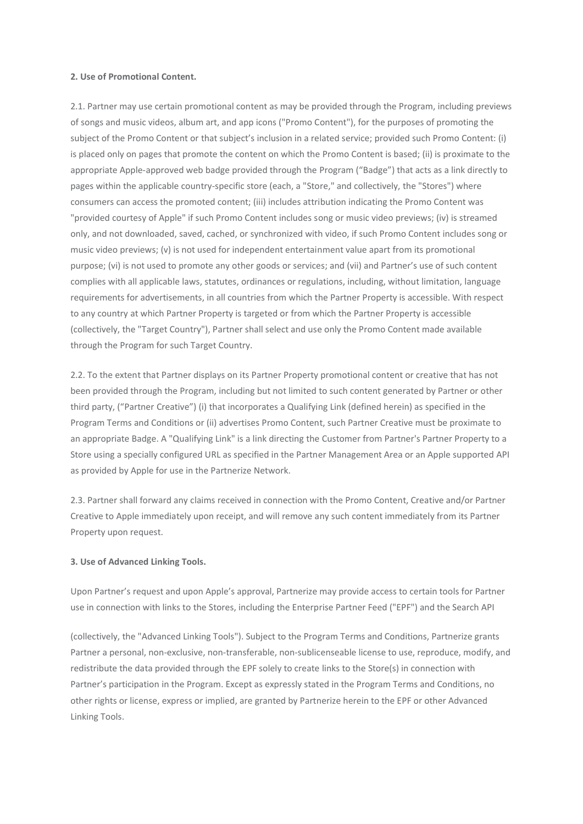#### **2. Use of Promotional Content.**

2.1. Partner may use certain promotional content as may be provided through the Program, including previews of songs and music videos, album art, and app icons ("Promo Content"), for the purposes of promoting the subject of the Promo Content or that subject's inclusion in a related service; provided such Promo Content: (i) is placed only on pages that promote the content on which the Promo Content is based; (ii) is proximate to the appropriate Apple-approved web badge provided through the Program ("Badge") that acts as a link directly to pages within the applicable country-specific store (each, a "Store," and collectively, the "Stores") where consumers can access the promoted content; (iii) includes attribution indicating the Promo Content was "provided courtesy of Apple" if such Promo Content includes song or music video previews; (iv) is streamed only, and not downloaded, saved, cached, or synchronized with video, if such Promo Content includes song or music video previews; (v) is not used for independent entertainment value apart from its promotional purpose; (vi) is not used to promote any other goods or services; and (vii) and Partner's use of such content complies with all applicable laws, statutes, ordinances or regulations, including, without limitation, language requirements for advertisements, in all countries from which the Partner Property is accessible. With respect to any country at which Partner Property is targeted or from which the Partner Property is accessible (collectively, the "Target Country"), Partner shall select and use only the Promo Content made available through the Program for such Target Country.

2.2. To the extent that Partner displays on its Partner Property promotional content or creative that has not been provided through the Program, including but not limited to such content generated by Partner or other third party, ("Partner Creative") (i) that incorporates a Qualifying Link (defined herein) as specified in the Program Terms and Conditions or (ii) advertises Promo Content, such Partner Creative must be proximate to an appropriate Badge. A "Qualifying Link" is a link directing the Customer from Partner's Partner Property to a Store using a specially configured URL as specified in the Partner Management Area or an Apple supported API as provided by Apple for use in the Partnerize Network.

2.3. Partner shall forward any claims received in connection with the Promo Content, Creative and/or Partner Creative to Apple immediately upon receipt, and will remove any such content immediately from its Partner Property upon request.

#### **3. Use of Advanced Linking Tools.**

Upon Partner's request and upon Apple's approval, Partnerize may provide access to certain tools for Partner use in connection with links to the Stores, including the Enterprise Partner Feed ("EPF") and the Search API

(collectively, the "Advanced Linking Tools"). Subject to the Program Terms and Conditions, Partnerize grants Partner a personal, non-exclusive, non-transferable, non-sublicenseable license to use, reproduce, modify, and redistribute the data provided through the EPF solely to create links to the Store(s) in connection with Partner's participation in the Program. Except as expressly stated in the Program Terms and Conditions, no other rights or license, express or implied, are granted by Partnerize herein to the EPF or other Advanced Linking Tools.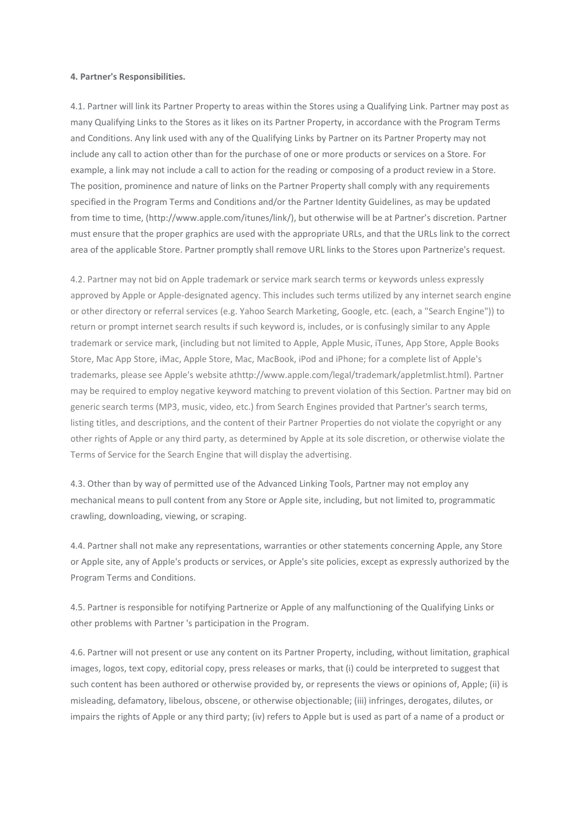#### **4. Partner's Responsibilities.**

4.1. Partner will link its Partner Property to areas within the Stores using a Qualifying Link. Partner may post as many Qualifying Links to the Stores as it likes on its Partner Property, in accordance with the Program Terms and Conditions. Any link used with any of the Qualifying Links by Partner on its Partner Property may not include any call to action other than for the purchase of one or more products or services on a Store. For example, a link may not include a call to action for the reading or composing of a product review in a Store. The position, prominence and nature of links on the Partner Property shall comply with any requirements specified in the Program Terms and Conditions and/or the Partner Identity Guidelines, as may be updated from time to time, (http://www.apple.com/itunes/link/), but otherwise will be at Partner's discretion. Partner must ensure that the proper graphics are used with the appropriate URLs, and that the URLs link to the correct area of the applicable Store. Partner promptly shall remove URL links to the Stores upon Partnerize's request.

4.2. Partner may not bid on Apple trademark or service mark search terms or keywords unless expressly approved by Apple or Apple-designated agency. This includes such terms utilized by any internet search engine or other directory or referral services (e.g. Yahoo Search Marketing, Google, etc. (each, a "Search Engine")) to return or prompt internet search results if such keyword is, includes, or is confusingly similar to any Apple trademark or service mark, (including but not limited to Apple, Apple Music, iTunes, App Store, Apple Books Store, Mac App Store, iMac, Apple Store, Mac, MacBook, iPod and iPhone; for a complete list of Apple's trademarks, please see Apple's website athttp://www.apple.com/legal/trademark/appletmlist.html). Partner may be required to employ negative keyword matching to prevent violation of this Section. Partner may bid on generic search terms (MP3, music, video, etc.) from Search Engines provided that Partner's search terms, listing titles, and descriptions, and the content of their Partner Properties do not violate the copyright or any other rights of Apple or any third party, as determined by Apple at its sole discretion, or otherwise violate the Terms of Service for the Search Engine that will display the advertising.

4.3. Other than by way of permitted use of the Advanced Linking Tools, Partner may not employ any mechanical means to pull content from any Store or Apple site, including, but not limited to, programmatic crawling, downloading, viewing, or scraping.

4.4. Partner shall not make any representations, warranties or other statements concerning Apple, any Store or Apple site, any of Apple's products or services, or Apple's site policies, except as expressly authorized by the Program Terms and Conditions.

4.5. Partner is responsible for notifying Partnerize or Apple of any malfunctioning of the Qualifying Links or other problems with Partner 's participation in the Program.

4.6. Partner will not present or use any content on its Partner Property, including, without limitation, graphical images, logos, text copy, editorial copy, press releases or marks, that (i) could be interpreted to suggest that such content has been authored or otherwise provided by, or represents the views or opinions of, Apple; (ii) is misleading, defamatory, libelous, obscene, or otherwise objectionable; (iii) infringes, derogates, dilutes, or impairs the rights of Apple or any third party; (iv) refers to Apple but is used as part of a name of a product or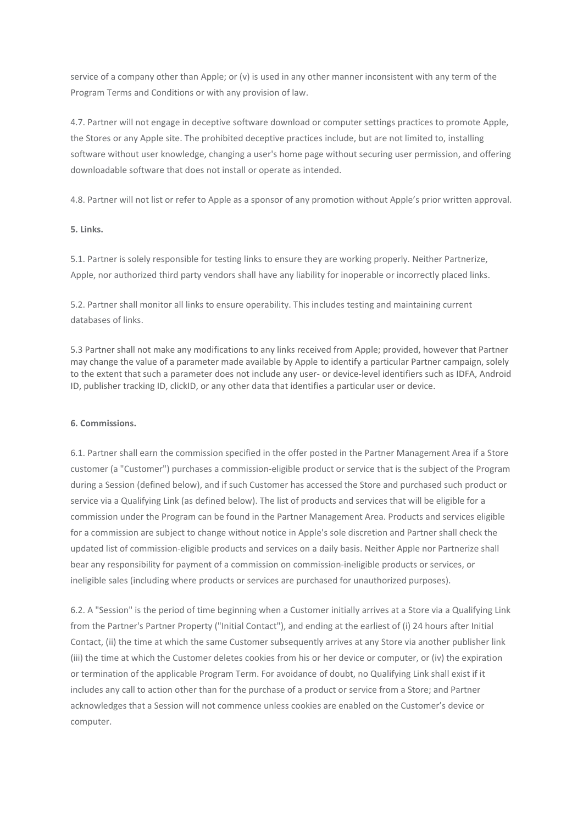service of a company other than Apple; or (v) is used in any other manner inconsistent with any term of the Program Terms and Conditions or with any provision of law.

4.7. Partner will not engage in deceptive software download or computer settings practices to promote Apple, the Stores or any Apple site. The prohibited deceptive practices include, but are not limited to, installing software without user knowledge, changing a user's home page without securing user permission, and offering downloadable software that does not install or operate as intended.

4.8. Partner will not list or refer to Apple as a sponsor of any promotion without Apple's prior written approval.

## **5. Links.**

5.1. Partner is solely responsible for testing links to ensure they are working properly. Neither Partnerize, Apple, nor authorized third party vendors shall have any liability for inoperable or incorrectly placed links.

5.2. Partner shall monitor all links to ensure operability. This includes testing and maintaining current databases of links.

5.3 Partner shall not make any modifications to any links received from Apple; provided, however that Partner may change the value of a parameter made available by Apple to identify a particular Partner campaign, solely to the extent that such a parameter does not include any user- or device-level identifiers such as IDFA, Android ID, publisher tracking ID, clickID, or any other data that identifies a particular user or device.

## **6. Commissions.**

6.1. Partner shall earn the commission specified in the offer posted in the Partner Management Area if a Store customer (a "Customer") purchases a commission-eligible product or service that is the subject of the Program during a Session (defined below), and if such Customer has accessed the Store and purchased such product or service via a Qualifying Link (as defined below). The list of products and services that will be eligible for a commission under the Program can be found in the Partner Management Area. Products and services eligible for a commission are subject to change without notice in Apple's sole discretion and Partner shall check the updated list of commission-eligible products and services on a daily basis. Neither Apple nor Partnerize shall bear any responsibility for payment of a commission on commission-ineligible products or services, or ineligible sales (including where products or services are purchased for unauthorized purposes).

6.2. A "Session" is the period of time beginning when a Customer initially arrives at a Store via a Qualifying Link from the Partner's Partner Property ("Initial Contact"), and ending at the earliest of (i) 24 hours after Initial Contact, (ii) the time at which the same Customer subsequently arrives at any Store via another publisher link (iii) the time at which the Customer deletes cookies from his or her device or computer, or (iv) the expiration or termination of the applicable Program Term. For avoidance of doubt, no Qualifying Link shall exist if it includes any call to action other than for the purchase of a product or service from a Store; and Partner acknowledges that a Session will not commence unless cookies are enabled on the Customer's device or computer.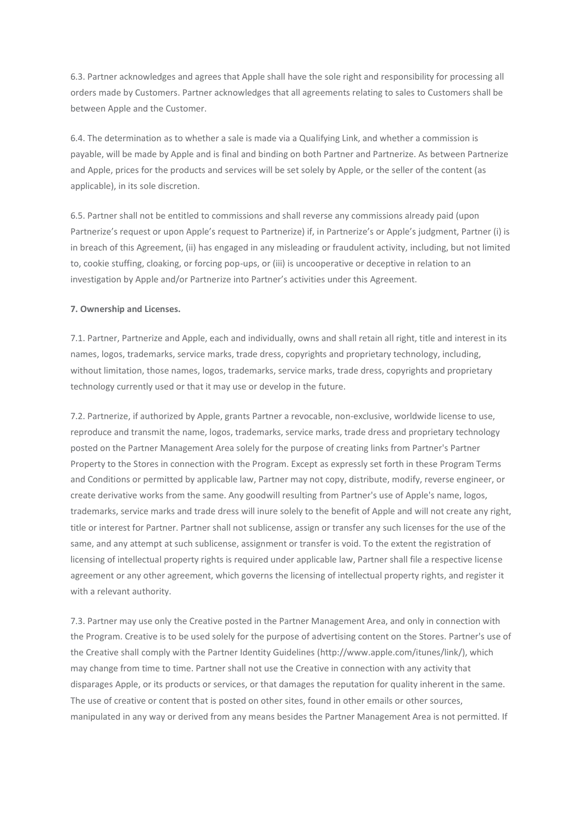6.3. Partner acknowledges and agrees that Apple shall have the sole right and responsibility for processing all orders made by Customers. Partner acknowledges that all agreements relating to sales to Customers shall be between Apple and the Customer.

6.4. The determination as to whether a sale is made via a Qualifying Link, and whether a commission is payable, will be made by Apple and is final and binding on both Partner and Partnerize. As between Partnerize and Apple, prices for the products and services will be set solely by Apple, or the seller of the content (as applicable), in its sole discretion.

6.5. Partner shall not be entitled to commissions and shall reverse any commissions already paid (upon Partnerize's request or upon Apple's request to Partnerize) if, in Partnerize's or Apple's judgment, Partner (i) is in breach of this Agreement, (ii) has engaged in any misleading or fraudulent activity, including, but not limited to, cookie stuffing, cloaking, or forcing pop-ups, or (iii) is uncooperative or deceptive in relation to an investigation by Apple and/or Partnerize into Partner's activities under this Agreement.

## **7. Ownership and Licenses.**

7.1. Partner, Partnerize and Apple, each and individually, owns and shall retain all right, title and interest in its names, logos, trademarks, service marks, trade dress, copyrights and proprietary technology, including, without limitation, those names, logos, trademarks, service marks, trade dress, copyrights and proprietary technology currently used or that it may use or develop in the future.

7.2. Partnerize, if authorized by Apple, grants Partner a revocable, non-exclusive, worldwide license to use, reproduce and transmit the name, logos, trademarks, service marks, trade dress and proprietary technology posted on the Partner Management Area solely for the purpose of creating links from Partner's Partner Property to the Stores in connection with the Program. Except as expressly set forth in these Program Terms and Conditions or permitted by applicable law, Partner may not copy, distribute, modify, reverse engineer, or create derivative works from the same. Any goodwill resulting from Partner's use of Apple's name, logos, trademarks, service marks and trade dress will inure solely to the benefit of Apple and will not create any right, title or interest for Partner. Partner shall not sublicense, assign or transfer any such licenses for the use of the same, and any attempt at such sublicense, assignment or transfer is void. To the extent the registration of licensing of intellectual property rights is required under applicable law, Partner shall file a respective license agreement or any other agreement, which governs the licensing of intellectual property rights, and register it with a relevant authority.

7.3. Partner may use only the Creative posted in the Partner Management Area, and only in connection with the Program. Creative is to be used solely for the purpose of advertising content on the Stores. Partner's use of the Creative shall comply with the Partner Identity Guidelines (http://www.apple.com/itunes/link/), which may change from time to time. Partner shall not use the Creative in connection with any activity that disparages Apple, or its products or services, or that damages the reputation for quality inherent in the same. The use of creative or content that is posted on other sites, found in other emails or other sources, manipulated in any way or derived from any means besides the Partner Management Area is not permitted. If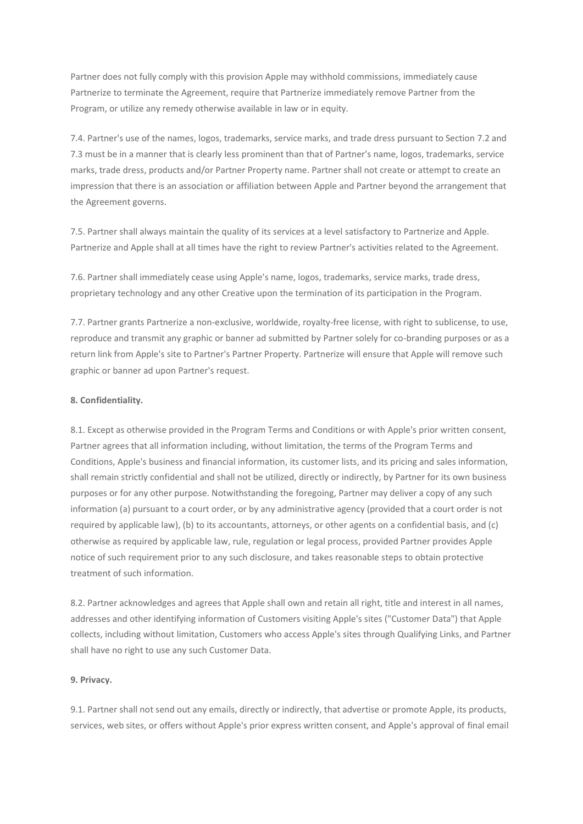Partner does not fully comply with this provision Apple may withhold commissions, immediately cause Partnerize to terminate the Agreement, require that Partnerize immediately remove Partner from the Program, or utilize any remedy otherwise available in law or in equity.

7.4. Partner's use of the names, logos, trademarks, service marks, and trade dress pursuant to Section 7.2 and 7.3 must be in a manner that is clearly less prominent than that of Partner's name, logos, trademarks, service marks, trade dress, products and/or Partner Property name. Partner shall not create or attempt to create an impression that there is an association or affiliation between Apple and Partner beyond the arrangement that the Agreement governs.

7.5. Partner shall always maintain the quality of its services at a level satisfactory to Partnerize and Apple. Partnerize and Apple shall at all times have the right to review Partner's activities related to the Agreement.

7.6. Partner shall immediately cease using Apple's name, logos, trademarks, service marks, trade dress, proprietary technology and any other Creative upon the termination of its participation in the Program.

7.7. Partner grants Partnerize a non-exclusive, worldwide, royalty-free license, with right to sublicense, to use, reproduce and transmit any graphic or banner ad submitted by Partner solely for co-branding purposes or as a return link from Apple's site to Partner's Partner Property. Partnerize will ensure that Apple will remove such graphic or banner ad upon Partner's request.

## **8. Confidentiality.**

8.1. Except as otherwise provided in the Program Terms and Conditions or with Apple's prior written consent, Partner agrees that all information including, without limitation, the terms of the Program Terms and Conditions, Apple's business and financial information, its customer lists, and its pricing and sales information, shall remain strictly confidential and shall not be utilized, directly or indirectly, by Partner for its own business purposes or for any other purpose. Notwithstanding the foregoing, Partner may deliver a copy of any such information (a) pursuant to a court order, or by any administrative agency (provided that a court order is not required by applicable law), (b) to its accountants, attorneys, or other agents on a confidential basis, and (c) otherwise as required by applicable law, rule, regulation or legal process, provided Partner provides Apple notice of such requirement prior to any such disclosure, and takes reasonable steps to obtain protective treatment of such information.

8.2. Partner acknowledges and agrees that Apple shall own and retain all right, title and interest in all names, addresses and other identifying information of Customers visiting Apple's sites ("Customer Data") that Apple collects, including without limitation, Customers who access Apple's sites through Qualifying Links, and Partner shall have no right to use any such Customer Data.

#### **9. Privacy.**

9.1. Partner shall not send out any emails, directly or indirectly, that advertise or promote Apple, its products, services, web sites, or offers without Apple's prior express written consent, and Apple's approval of final email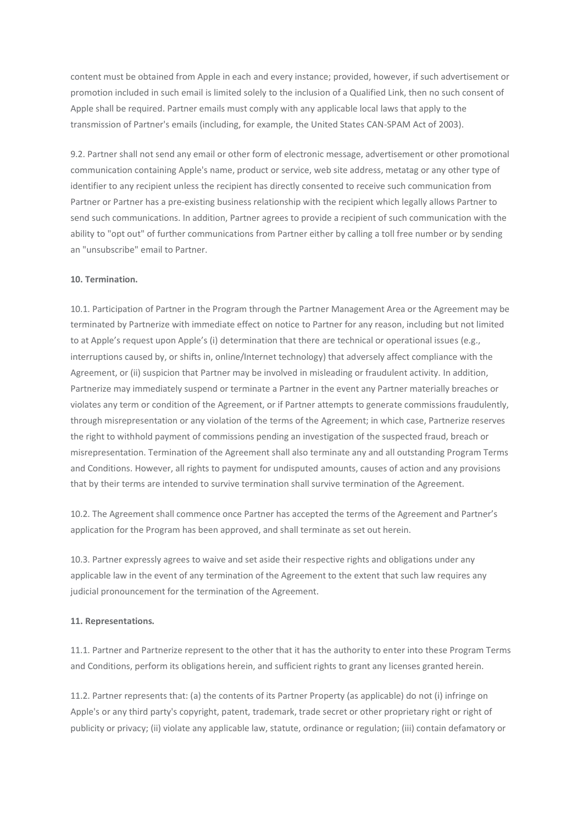content must be obtained from Apple in each and every instance; provided, however, if such advertisement or promotion included in such email is limited solely to the inclusion of a Qualified Link, then no such consent of Apple shall be required. Partner emails must comply with any applicable local laws that apply to the transmission of Partner's emails (including, for example, the United States CAN-SPAM Act of 2003).

9.2. Partner shall not send any email or other form of electronic message, advertisement or other promotional communication containing Apple's name, product or service, web site address, metatag or any other type of identifier to any recipient unless the recipient has directly consented to receive such communication from Partner or Partner has a pre-existing business relationship with the recipient which legally allows Partner to send such communications. In addition, Partner agrees to provide a recipient of such communication with the ability to "opt out" of further communications from Partner either by calling a toll free number or by sending an "unsubscribe" email to Partner.

#### **10. Termination.**

10.1. Participation of Partner in the Program through the Partner Management Area or the Agreement may be terminated by Partnerize with immediate effect on notice to Partner for any reason, including but not limited to at Apple's request upon Apple's (i) determination that there are technical or operational issues (e.g., interruptions caused by, or shifts in, online/Internet technology) that adversely affect compliance with the Agreement, or (ii) suspicion that Partner may be involved in misleading or fraudulent activity. In addition, Partnerize may immediately suspend or terminate a Partner in the event any Partner materially breaches or violates any term or condition of the Agreement, or if Partner attempts to generate commissions fraudulently, through misrepresentation or any violation of the terms of the Agreement; in which case, Partnerize reserves the right to withhold payment of commissions pending an investigation of the suspected fraud, breach or misrepresentation. Termination of the Agreement shall also terminate any and all outstanding Program Terms and Conditions. However, all rights to payment for undisputed amounts, causes of action and any provisions that by their terms are intended to survive termination shall survive termination of the Agreement.

10.2. The Agreement shall commence once Partner has accepted the terms of the Agreement and Partner's application for the Program has been approved, and shall terminate as set out herein.

10.3. Partner expressly agrees to waive and set aside their respective rights and obligations under any applicable law in the event of any termination of the Agreement to the extent that such law requires any judicial pronouncement for the termination of the Agreement.

#### **11. Representations.**

11.1. Partner and Partnerize represent to the other that it has the authority to enter into these Program Terms and Conditions, perform its obligations herein, and sufficient rights to grant any licenses granted herein.

11.2. Partner represents that: (a) the contents of its Partner Property (as applicable) do not (i) infringe on Apple's or any third party's copyright, patent, trademark, trade secret or other proprietary right or right of publicity or privacy; (ii) violate any applicable law, statute, ordinance or regulation; (iii) contain defamatory or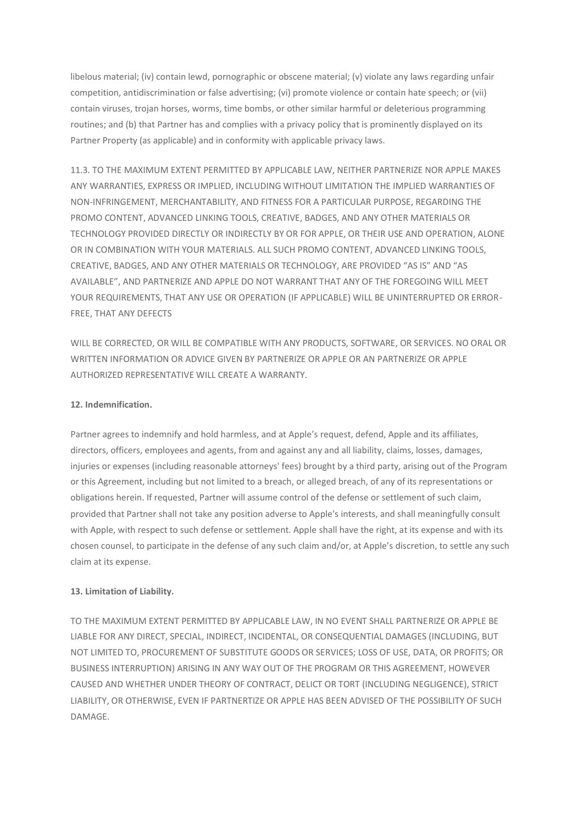libelous material; (iv) contain lewd, pornographic or obscene material; (v) violate any laws regarding unfair competition, antidiscrimination or false advertising; (vi) promote violence or contain hate speech; or (vii) contain viruses, trojan horses, worms, time bombs, or other similar harmful or deleterious programming routines; and (b) that Partner has and complies with a privacy policy that is prominently displayed on its Partner Property (as applicable) and in conformity with applicable privacy laws.

11.3. TO THE MAXIMUM EXTENT PERMITTED BY APPLICABLE LAW, NEITHER PARTNERIZE NOR APPLE MAKES ANY WARRANTIES, EXPRESS OR IMPLIED, INCLUDING WITHOUT LIMITATION THE IMPLIED WARRANTIES OF NON-INFRINGEMENT, MERCHANTABILITY, AND FITNESS FOR A PARTICULAR PURPOSE, REGARDING THE PROMO CONTENT, ADVANCED LINKING TOOLS, CREATIVE, BADGES, AND ANY OTHER MATERIALS OR TECHNOLOGY PROVIDED DIRECTLY OR INDIRECTLY BY OR FOR APPLE, OR THEIR USE AND OPERATION, ALONE OR IN COMBINATION WITH YOUR MATERIALS. ALL SUCH PROMO CONTENT, ADVANCED LINKING TOOLS, CREATIVE, BADGES, AND ANY OTHER MATERIALS OR TECHNOLOGY, ARE PROVIDED "AS IS" AND "AS AVAILABLE", AND PARTNERIZE AND APPLE DO NOT WARRANT THAT ANY OF THE FOREGOING WILL MEET YOUR REQUIREMENTS, THAT ANY USE OR OPERATION (IF APPLICABLE) WILL BE UNINTERRUPTED OR ERROR-FREE, THAT ANY DEFECTS

WILL BE CORRECTED, OR WILL BE COMPATIBLE WITH ANY PRODUCTS, SOFTWARE, OR SERVICES. NO ORAL OR WRITTEN INFORMATION OR ADVICE GIVEN BY PARTNERIZE OR APPLE OR AN PARTNERIZE OR APPLE AUTHORIZED REPRESENTATIVE WILL CREATE A WARRANTY.

## **12. Indemnification.**

Partner agrees to indemnify and hold harmless, and at Apple's request, defend, Apple and its affiliates, directors, officers, employees and agents, from and against any and all liability, claims, losses, damages, injuries or expenses (including reasonable attorneys' fees) brought by a third party, arising out of the Program or this Agreement, including but not limited to a breach, or alleged breach, of any of its representations or obligations herein. If requested, Partner will assume control of the defense or settlement of such claim, provided that Partner shall not take any position adverse to Apple's interests, and shall meaningfully consult with Apple, with respect to such defense or settlement. Apple shall have the right, at its expense and with its chosen counsel, to participate in the defense of any such claim and/or, at Apple's discretion, to settle any such claim at its expense.

## **13. Limitation of Liability.**

TO THE MAXIMUM EXTENT PERMITTED BY APPLICABLE LAW, IN NO EVENT SHALL PARTNERIZE OR APPLE BE LIABLE FOR ANY DIRECT, SPECIAL, INDIRECT, INCIDENTAL, OR CONSEQUENTIAL DAMAGES (INCLUDING, BUT NOT LIMITED TO, PROCUREMENT OF SUBSTITUTE GOODS OR SERVICES; LOSS OF USE, DATA, OR PROFITS; OR BUSINESS INTERRUPTION) ARISING IN ANY WAY OUT OF THE PROGRAM OR THIS AGREEMENT, HOWEVER CAUSED AND WHETHER UNDER THEORY OF CONTRACT, DELICT OR TORT (INCLUDING NEGLIGENCE), STRICT LIABILITY, OR OTHERWISE, EVEN IF PARTNERTIZE OR APPLE HAS BEEN ADVISED OF THE POSSIBILITY OF SUCH DAMAGE.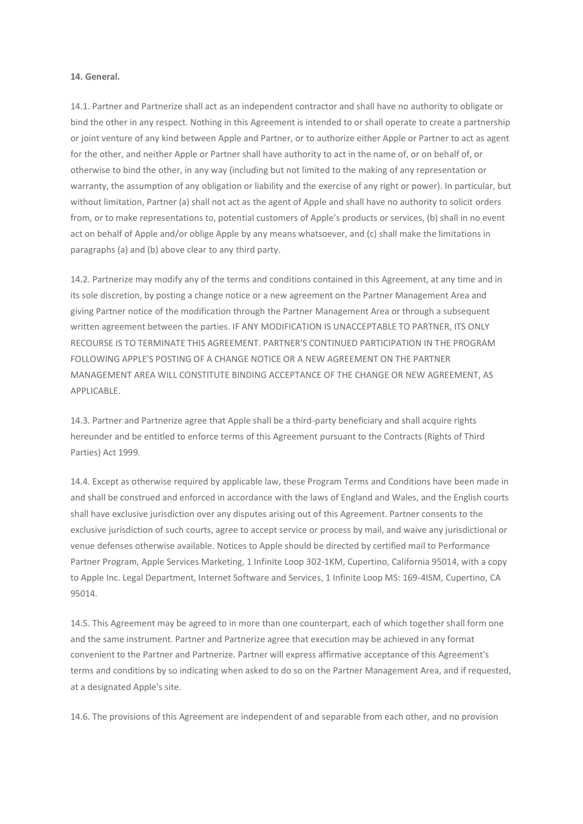#### **14. General.**

14.1. Partner and Partnerize shall act as an independent contractor and shall have no authority to obligate or bind the other in any respect. Nothing in this Agreement is intended to or shall operate to create a partnership or joint venture of any kind between Apple and Partner, or to authorize either Apple or Partner to act as agent for the other, and neither Apple or Partner shall have authority to act in the name of, or on behalf of, or otherwise to bind the other, in any way (including but not limited to the making of any representation or warranty, the assumption of any obligation or liability and the exercise of any right or power). In particular, but without limitation, Partner (a) shall not act as the agent of Apple and shall have no authority to solicit orders from, or to make representations to, potential customers of Apple's products or services, (b) shall in no event act on behalf of Apple and/or oblige Apple by any means whatsoever, and (c) shall make the limitations in paragraphs (a) and (b) above clear to any third party.

14.2. Partnerize may modify any of the terms and conditions contained in this Agreement, at any time and in its sole discretion, by posting a change notice or a new agreement on the Partner Management Area and giving Partner notice of the modification through the Partner Management Area or through a subsequent written agreement between the parties. IF ANY MODIFICATION IS UNACCEPTABLE TO PARTNER, ITS ONLY RECOURSE IS TO TERMINATE THIS AGREEMENT. PARTNER'S CONTINUED PARTICIPATION IN THE PROGRAM FOLLOWING APPLE'S POSTING OF A CHANGE NOTICE OR A NEW AGREEMENT ON THE PARTNER MANAGEMENT AREA WILL CONSTITUTE BINDING ACCEPTANCE OF THE CHANGE OR NEW AGREEMENT, AS APPLICABLE.

14.3. Partner and Partnerize agree that Apple shall be a third-party beneficiary and shall acquire rights hereunder and be entitled to enforce terms of this Agreement pursuant to the Contracts (Rights of Third Parties) Act 1999.

14.4. Except as otherwise required by applicable law, these Program Terms and Conditions have been made in and shall be construed and enforced in accordance with the laws of England and Wales, and the English courts shall have exclusive jurisdiction over any disputes arising out of this Agreement. Partner consents to the exclusive jurisdiction of such courts, agree to accept service or process by mail, and waive any jurisdictional or venue defenses otherwise available. Notices to Apple should be directed by certified mail to Performance Partner Program, Apple Services Marketing, 1 Infinite Loop 302-1KM, Cupertino, California 95014, with a copy to Apple Inc. Legal Department, Internet Software and Services, 1 Infinite Loop MS: 169-4ISM, Cupertino, CA 95014.

14.5. This Agreement may be agreed to in more than one counterpart, each of which together shall form one and the same instrument. Partner and Partnerize agree that execution may be achieved in any format convenient to the Partner and Partnerize. Partner will express affirmative acceptance of this Agreement's terms and conditions by so indicating when asked to do so on the Partner Management Area, and if requested, at a designated Apple's site.

14.6. The provisions of this Agreement are independent of and separable from each other, and no provision